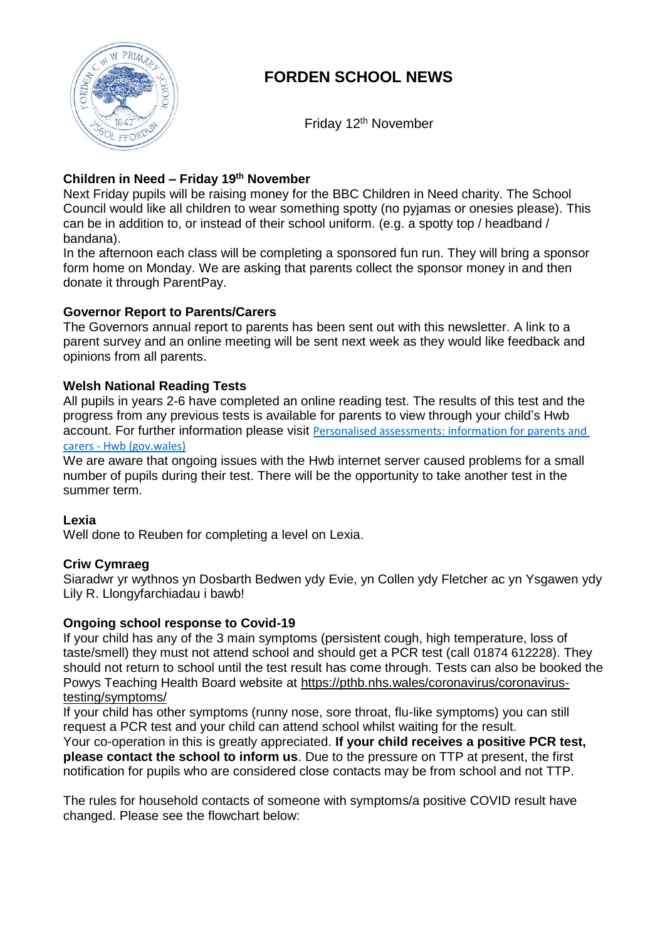

# **FORDEN SCHOOL NEWS**

Friday 12<sup>th</sup> November

# **Children in Need – Friday 19th November**

Next Friday pupils will be raising money for the BBC Children in Need charity. The School Council would like all children to wear something spotty (no pyjamas or onesies please). This can be in addition to, or instead of their school uniform. (e.g. a spotty top / headband / bandana).

In the afternoon each class will be completing a sponsored fun run. They will bring a sponsor form home on Monday. We are asking that parents collect the sponsor money in and then donate it through ParentPay.

# **Governor Report to Parents/Carers**

The Governors annual report to parents has been sent out with this newsletter. A link to a parent survey and an online meeting will be sent next week as they would like feedback and opinions from all parents.

# **Welsh National Reading Tests**

All pupils in years 2-6 have completed an online reading test. The results of this test and the progress from any previous tests is available for parents to view through your child's Hwb account. For further information please visit [Personalised assessments: information for parents and](https://hwb.gov.wales/curriculum-for-wales/reading-and-numeracy-assessments/personalised-assessments-information-for-parents-and-carers)  carers - [Hwb \(gov.wales\)](https://hwb.gov.wales/curriculum-for-wales/reading-and-numeracy-assessments/personalised-assessments-information-for-parents-and-carers)

We are aware that ongoing issues with the Hwb internet server caused problems for a small number of pupils during their test. There will be the opportunity to take another test in the summer term.

### **Lexia**

Well done to Reuben for completing a level on Lexia.

### **Criw Cymraeg**

Siaradwr yr wythnos yn Dosbarth Bedwen ydy Evie, yn Collen ydy Fletcher ac yn Ysgawen ydy Lily R. Llongyfarchiadau i bawb!

### **Ongoing school response to Covid-19**

If your child has any of the 3 main symptoms (persistent cough, high temperature, loss of taste/smell) they must not attend school and should get a PCR test (call 01874 612228). They should not return to school until the test result has come through. Tests can also be booked the Powys Teaching Health Board website at [https://pthb.nhs.wales/coronavirus/coronavirus](https://pthb.nhs.wales/coronavirus/coronavirus-testing/symptoms/)[testing/symptoms/](https://pthb.nhs.wales/coronavirus/coronavirus-testing/symptoms/)

If your child has other symptoms (runny nose, sore throat, flu-like symptoms) you can still request a PCR test and your child can attend school whilst waiting for the result.

Your co-operation in this is greatly appreciated. **If your child receives a positive PCR test, please contact the school to inform us**. Due to the pressure on TTP at present, the first notification for pupils who are considered close contacts may be from school and not TTP.

The rules for household contacts of someone with symptoms/a positive COVID result have changed. Please see the flowchart below: